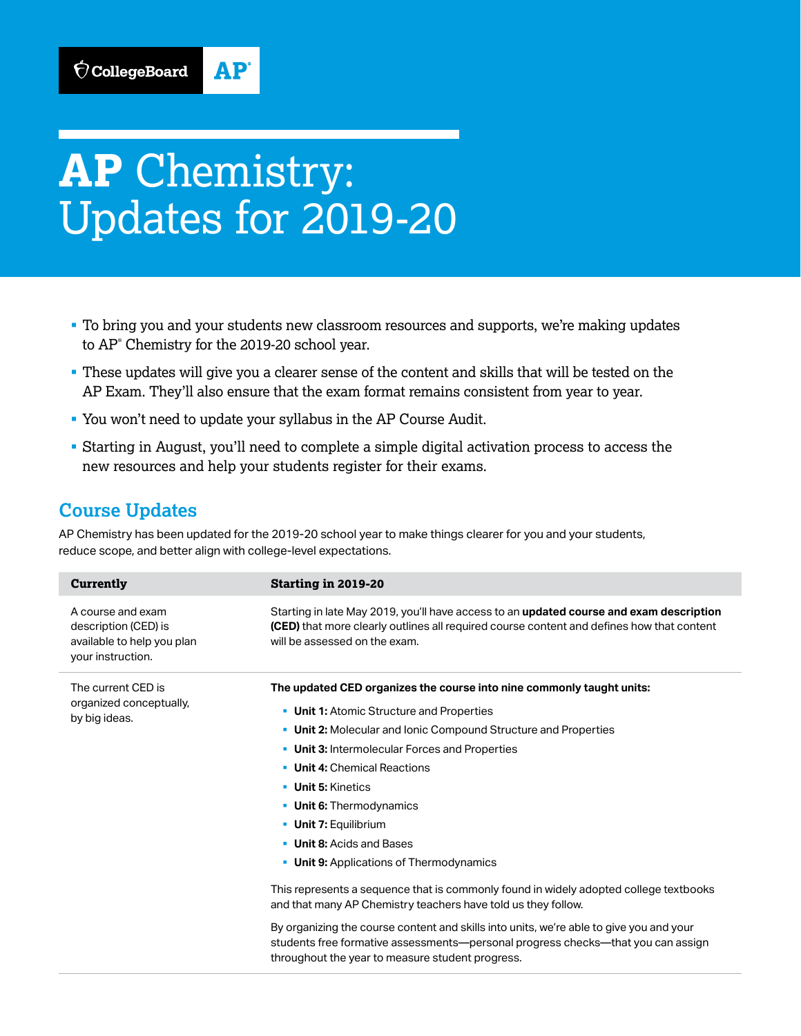## AP

# **AP** Chemistry: Updates for 2019-20

- § To bring you and your students new classroom resources and supports, we're making updates to AP® Chemistry for the 2019-20 school year.
- § These updates will give you a clearer sense of the content and skills that will be tested on the AP Exam. They'll also ensure that the exam format remains consistent from year to year.
- § You won't need to update your syllabus in the AP Course Audit.
- § Starting in August, you'll need to complete a simple digital activation process to access the new resources and help your students register for their exams.

### **Course Updates**

AP Chemistry has been updated for the 2019-20 school year to make things clearer for you and your students, reduce scope, and better align with college-level expectations.

| <b>Currently</b>                                                                             | <b>Starting in 2019-20</b>                                                                                                                                                                                                      |
|----------------------------------------------------------------------------------------------|---------------------------------------------------------------------------------------------------------------------------------------------------------------------------------------------------------------------------------|
| A course and exam<br>description (CED) is<br>available to help you plan<br>your instruction. | Starting in late May 2019, you'll have access to an updated course and exam description<br><b>(CED)</b> that more clearly outlines all required course content and defines how that content<br>will be assessed on the exam.    |
| The current CED is<br>organized conceptually,<br>by big ideas.                               | The updated CED organizes the course into nine commonly taught units:                                                                                                                                                           |
|                                                                                              | • Unit 1: Atomic Structure and Properties                                                                                                                                                                                       |
|                                                                                              | • Unit 2: Molecular and Ionic Compound Structure and Properties                                                                                                                                                                 |
|                                                                                              | • Unit 3: Intermolecular Forces and Properties                                                                                                                                                                                  |
|                                                                                              | • Unit 4: Chemical Reactions                                                                                                                                                                                                    |
|                                                                                              | <b>Unit 5: Kinetics</b>                                                                                                                                                                                                         |
|                                                                                              | <b>Unit 6:</b> Thermodynamics                                                                                                                                                                                                   |
|                                                                                              | • Unit 7: Equilibrium                                                                                                                                                                                                           |
|                                                                                              | <b>Unit 8: Acids and Bases</b>                                                                                                                                                                                                  |
|                                                                                              | • Unit 9: Applications of Thermodynamics                                                                                                                                                                                        |
|                                                                                              | This represents a sequence that is commonly found in widely adopted college textbooks<br>and that many AP Chemistry teachers have told us they follow.                                                                          |
|                                                                                              | By organizing the course content and skills into units, we're able to give you and your<br>students free formative assessments—personal progress checks—that you can assign<br>throughout the year to measure student progress. |